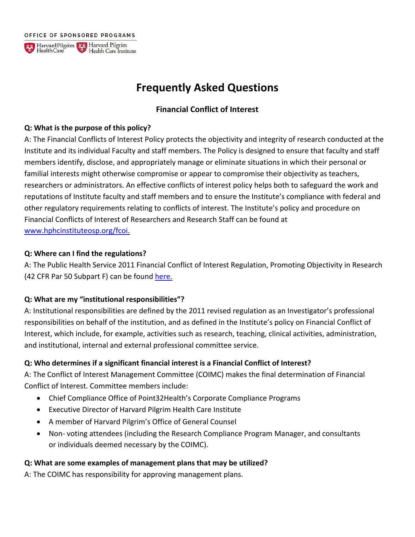OFFICE OF SPONSORED PROGRAMS



# **Frequently Asked Questions**

# **Financial Conflict of Interest**

#### **Q: What is the purpose of this policy?**

A: The Financial Conflicts of Interest Policy protects the objectivity and integrity of research conducted at the Institute and its individual Faculty and staff members. The Policy is designed to ensure that faculty and staff members identify, disclose, and appropriately manage or eliminate situations in which their personal or familial interests might otherwise compromise or appear to compromise their objectivity as teachers, researchers or administrators. An effective conflicts of interest policy helps both to safeguard the work and reputations of Institute faculty and staff members and to ensure the Institute's compliance with federal and other regulatory requirements relating to conflicts of interest. The Institute's policy and procedure on Financial Conflicts of Interest of Researchers and Research Staff can be found at [www.hphcinstituteosp.org/fcoi.](https://www.hphcinstituteosp.org/fcoi)

#### **Q: Where can I find the regulations?**

A: The Public Health Service 2011 Financial Conflict of Interest Regulation, Promoting Objectivity in Research (42 CFR Par 50 Subpart F) can be found [here.](https://grants.nih.gov/grants/compliance/42_cfr_50_subpart_f.htm)

#### **Q: What are my "institutional responsibilities"?**

A: Institutional responsibilities are defined by the 2011 revised regulation as an Investigator's professional responsibilities on behalf of the institution, and as defined in the Institute's policy on Financial Conflict of Interest, which include, for example, activities such as research, teaching, clinical activities, administration, and institutional, internal and external professional committee service.

#### **Q: Who determines if a significant financial interest is a Financial Conflict of Interest?**

A: The Conflict of Interest Management Committee (COIMC) makes the final determination of Financial Conflict of Interest. Committee members include:

- Chief Compliance Office of Point32Health's Corporate Compliance Programs
- Executive Director of Harvard Pilgrim Health Care Institute
- A member of Harvard Pilgrim's Office of General Counsel
- Non- voting attendees (including the Research Compliance Program Manager, and consultants or individuals deemed necessary by the COIMC).

#### **Q: What are some examples of management plans that may be utilized?**

A: The COIMC has responsibility for approving management plans.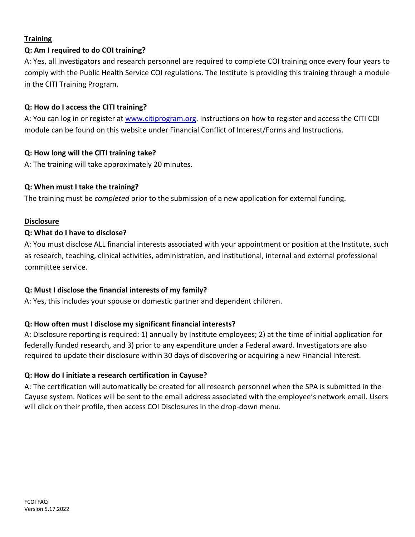# **Training**

#### **Q: Am I required to do COI training?**

A: Yes, all Investigators and research personnel are required to complete COI training once every four years to comply with the Public Health Service COI regulations. The Institute is providing this training through a module in the CITI Training Program.

#### **Q: How do I access the CITI training?**

A: You can log in or register at [www.citiprogram.org. I](http://www.citiprogram.org/)nstructions on how to register and access the CITI COI module can be found on this website under Financial Conflict of Interest/Forms and Instructions.

#### **Q: How long will the CITI training take?**

A: The training will take approximately 20 minutes.

#### **Q: When must I take the training?**

The training must be *completed* prior to the submission of a new application for external funding.

#### **Disclosure**

#### **Q: What do I have to disclose?**

A: You must disclose ALL financial interests associated with your appointment or position at the Institute, such as research, teaching, clinical activities, administration, and institutional, internal and external professional committee service.

#### **Q: Must I disclose the financial interests of my family?**

A: Yes, this includes your spouse or domestic partner and dependent children.

# **Q: How often must I disclose my significant financial interests?**

A: Disclosure reporting is required: 1) annually by Institute employees; 2) at the time of initial application for federally funded research, and 3) prior to any expenditure under a Federal award. Investigators are also required to update their disclosure within 30 days of discovering or acquiring a new Financial Interest.

#### **Q: How do I initiate a research certification in Cayuse?**

A: The certification will automatically be created for all research personnel when the SPA is submitted in the Cayuse system. Notices will be sent to the email address associated with the employee's network email. Users will click on their profile, then access COI Disclosures in the drop-down menu.